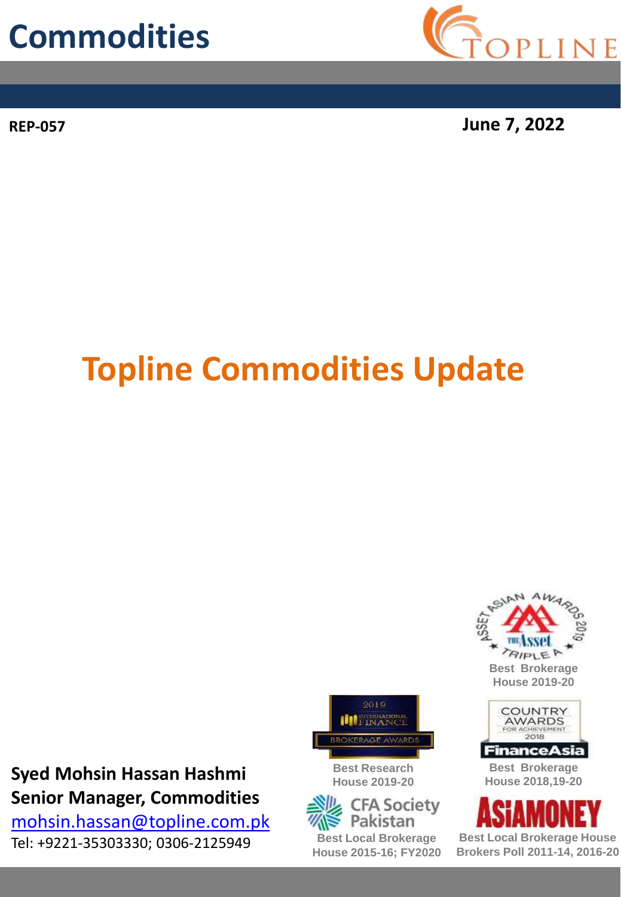## **Commodities**



**REP-057 June 7, 2022**

# **Topline Commodities Update**

#### **Syed Mohsin Hassan Hashmi Senior Manager, Commodities**

[mohsin.hassan@topline.com.pk](mailto:mohsin.hassan@topline.com.pk) Tel: +9221-35303330; 0306-2125949 **Best Local Brokerage House**



**Best Research House 2019-20**







**Best Brokerage House 2018,19-20**



**Brokers Poll 2011-14, 2016-20**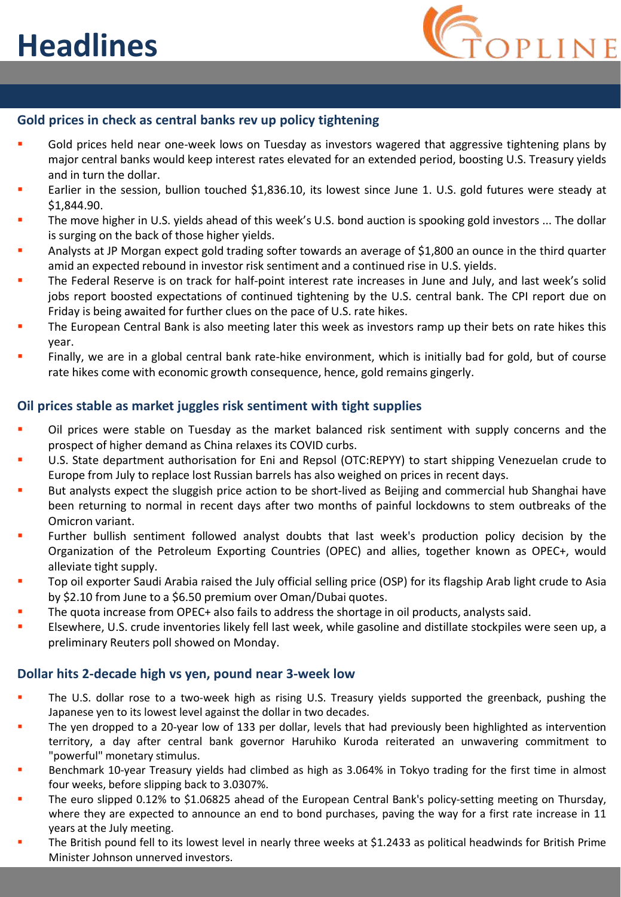

#### **Gold prices in check as central banks rev up policy tightening**

- Gold prices held near one-week lows on Tuesday as investors wagered that aggressive tightening plans by major central banks would keep interest rates elevated for an extended period, boosting U.S. Treasury yields and in turn the dollar.
- Earlier in the session, bullion touched \$1,836.10, its lowest since June 1. U.S. gold futures were steady at \$1,844.90.
- The move higher in U.S. yields ahead of this week's U.S. bond auction is spooking gold investors ... The dollar is surging on the back of those higher yields.
- Analysts at JP Morgan expect gold trading softer towards an average of \$1,800 an ounce in the third quarter amid an expected rebound in investor risk sentiment and a continued rise in U.S. yields.
- The Federal Reserve is on track for half-point interest rate increases in June and July, and last week's solid jobs report boosted expectations of continued tightening by the U.S. central bank. The CPI report due on Friday is being awaited for further clues on the pace of U.S. rate hikes.
- The European Central Bank is also meeting later this week as investors ramp up their bets on rate hikes this year.
- Finally, we are in a global central bank rate-hike environment, which is initially bad for gold, but of course rate hikes come with economic growth consequence, hence, gold remains gingerly.

#### **Oil prices stable as market juggles risk sentiment with tight supplies**

- Oil prices were stable on Tuesday as the market balanced risk sentiment with supply concerns and the prospect of higher demand as China relaxes its COVID curbs.
- U.S. State department authorisation for Eni and Repsol (OTC:REPYY) to start shipping Venezuelan crude to Europe from July to replace lost Russian barrels has also weighed on prices in recent days.
- But analysts expect the sluggish price action to be short-lived as Beijing and commercial hub Shanghai have been returning to normal in recent days after two months of painful lockdowns to stem outbreaks of the Omicron variant.
- Further bullish sentiment followed analyst doubts that last week's production policy decision by the Organization of the Petroleum Exporting Countries (OPEC) and allies, together known as OPEC+, would alleviate tight supply.
- Top oil exporter Saudi Arabia raised the July official selling price (OSP) for its flagship Arab light crude to Asia by \$2.10 from June to a \$6.50 premium over Oman/Dubai quotes.
- The quota increase from OPEC+ also fails to address the shortage in oil products, analysts said.
- Elsewhere, U.S. crude inventories likely fell last week, while gasoline and distillate stockpiles were seen up, a preliminary Reuters poll showed on Monday.

#### **Dollar hits 2-decade high vs yen, pound near 3-week low**

- The U.S. dollar rose to a two-week high as rising U.S. Treasury yields supported the greenback, pushing the Japanese yen to its lowest level against the dollar in two decades.
- The yen dropped to a 20-year low of 133 per dollar, levels that had previously been highlighted as intervention territory, a day after central bank governor Haruhiko Kuroda reiterated an unwavering commitment to "powerful" monetary stimulus.
- Benchmark 10-year Treasury yields had climbed as high as 3.064% in Tokyo trading for the first time in almost four weeks, before slipping back to 3.0307%.
- The euro slipped 0.12% to \$1.06825 ahead of the European Central Bank's policy-setting meeting on Thursday, where they are expected to announce an end to bond purchases, paving the way for a first rate increase in 11 years at the July meeting.
- The British pound fell to its lowest level in nearly three weeks at \$1.2433 as political headwinds for British Prime Minister Johnson unnerved investors.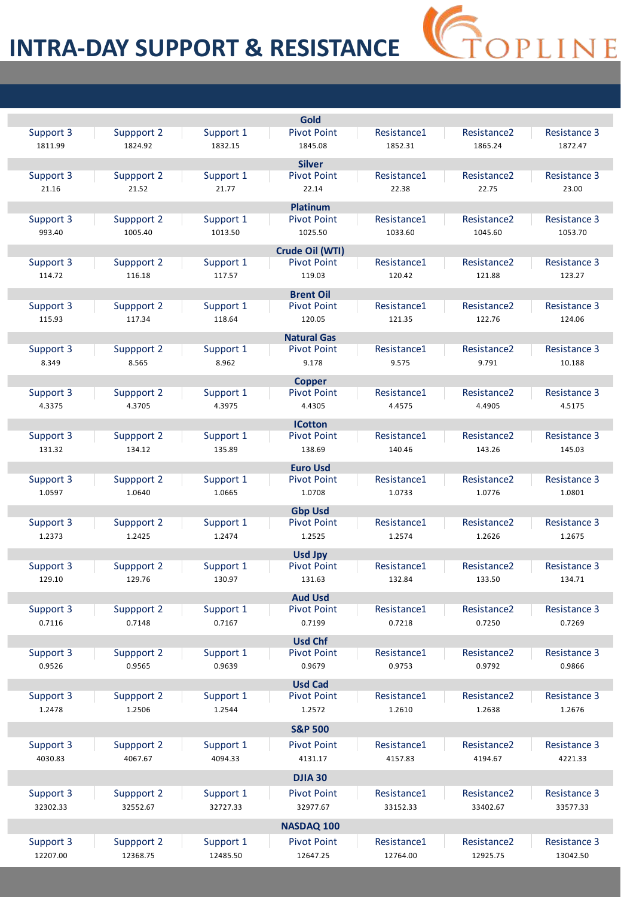#### **INTRA-DAY SUPPORT & RESISTANCE**

|           |            |           | Gold               |             |                         |                     |
|-----------|------------|-----------|--------------------|-------------|-------------------------|---------------------|
| Support 3 | Suppport 2 | Support 1 | <b>Pivot Point</b> | Resistance1 | Resistance <sub>2</sub> | <b>Resistance 3</b> |
| 1811.99   | 1824.92    | 1832.15   | 1845.08            | 1852.31     | 1865.24                 | 1872.47             |
|           |            |           | <b>Silver</b>      |             |                         |                     |
| Support 3 | Suppport 2 | Support 1 | <b>Pivot Point</b> | Resistance1 | Resistance <sub>2</sub> | <b>Resistance 3</b> |
| 21.16     | 21.52      | 21.77     | 22.14              | 22.38       | 22.75                   | 23.00               |
|           |            |           |                    |             |                         |                     |
|           |            |           | <b>Platinum</b>    |             |                         |                     |
| Support 3 | Suppport 2 | Support 1 | <b>Pivot Point</b> | Resistance1 | Resistance <sub>2</sub> | Resistance 3        |
| 993.40    | 1005.40    | 1013.50   | 1025.50            | 1033.60     | 1045.60                 | 1053.70             |
|           |            |           | Crude Oil (WTI)    |             |                         |                     |
| Support 3 | Suppport 2 | Support 1 | <b>Pivot Point</b> | Resistance1 | Resistance <sub>2</sub> | Resistance 3        |
| 114.72    | 116.18     | 117.57    | 119.03             | 120.42      | 121.88                  | 123.27              |
|           |            |           | <b>Brent Oil</b>   |             |                         |                     |
| Support 3 | Suppport 2 | Support 1 | <b>Pivot Point</b> | Resistance1 | Resistance <sub>2</sub> | <b>Resistance 3</b> |
| 115.93    | 117.34     | 118.64    | 120.05             | 121.35      | 122.76                  | 124.06              |
|           |            |           | <b>Natural Gas</b> |             |                         |                     |
| Support 3 | Suppport 2 | Support 1 | <b>Pivot Point</b> | Resistance1 | Resistance <sub>2</sub> | <b>Resistance 3</b> |
| 8.349     | 8.565      | 8.962     | 9.178              | 9.575       | 9.791                   | 10.188              |
|           |            |           |                    |             |                         |                     |
|           |            |           | <b>Copper</b>      |             |                         |                     |
| Support 3 | Suppport 2 | Support 1 | <b>Pivot Point</b> | Resistance1 | Resistance <sub>2</sub> | <b>Resistance 3</b> |
| 4.3375    | 4.3705     | 4.3975    | 4.4305             | 4.4575      | 4.4905                  | 4.5175              |
|           |            |           | <b>ICotton</b>     |             |                         |                     |
| Support 3 | Suppport 2 | Support 1 | <b>Pivot Point</b> | Resistance1 | Resistance <sub>2</sub> | Resistance 3        |
| 131.32    | 134.12     | 135.89    | 138.69             | 140.46      | 143.26                  | 145.03              |
|           |            |           | <b>Euro Usd</b>    |             |                         |                     |
| Support 3 | Suppport 2 | Support 1 | <b>Pivot Point</b> | Resistance1 | Resistance <sub>2</sub> | <b>Resistance 3</b> |
| 1.0597    | 1.0640     | 1.0665    | 1.0708             | 1.0733      | 1.0776                  | 1.0801              |
|           |            |           | <b>Gbp Usd</b>     |             |                         |                     |
| Support 3 | Suppport 2 | Support 1 | <b>Pivot Point</b> | Resistance1 | Resistance <sub>2</sub> | <b>Resistance 3</b> |
| 1.2373    | 1.2425     | 1.2474    | 1.2525             | 1.2574      | 1.2626                  | 1.2675              |
|           |            |           |                    |             |                         |                     |
|           |            |           | <b>Usd Jpy</b>     |             |                         |                     |
| Support 3 | Suppport 2 | Support 1 | <b>Pivot Point</b> | Resistance1 | Resistance <sub>2</sub> | Resistance 3        |
| 129.10    | 129.76     | 130.97    | 131.63             | 132.84      | 133.50                  | 134.71              |
|           |            |           | <b>Aud Usd</b>     |             |                         |                     |
| Support 3 | Suppport 2 | Support 1 | <b>Pivot Point</b> | Resistance1 | Resistance <sub>2</sub> | Resistance 3        |
| 0.7116    | 0.7148     | 0.7167    | 0.7199             | 0.7218      | 0.7250                  | 0.7269              |
|           |            |           | <b>Usd Chf</b>     |             |                         |                     |
| Support 3 | Suppport 2 | Support 1 | <b>Pivot Point</b> | Resistance1 | Resistance <sub>2</sub> | <b>Resistance 3</b> |
| 0.9526    | 0.9565     | 0.9639    | 0.9679             | 0.9753      | 0.9792                  | 0.9866              |
|           |            |           | <b>Usd Cad</b>     |             |                         |                     |
| Support 3 | Suppport 2 | Support 1 | <b>Pivot Point</b> | Resistance1 | Resistance <sub>2</sub> | <b>Resistance 3</b> |
| 1.2478    | 1.2506     | 1.2544    | 1.2572             | 1.2610      | 1.2638                  | 1.2676              |
|           |            |           |                    |             |                         |                     |
|           |            |           | <b>S&amp;P 500</b> |             |                         |                     |
| Support 3 | Suppport 2 | Support 1 | <b>Pivot Point</b> | Resistance1 | Resistance <sub>2</sub> | Resistance 3        |
| 4030.83   | 4067.67    | 4094.33   | 4131.17            | 4157.83     | 4194.67                 | 4221.33             |
|           |            |           | <b>DJIA 30</b>     |             |                         |                     |
|           |            |           |                    |             |                         |                     |
| Support 3 | Suppport 2 | Support 1 | <b>Pivot Point</b> | Resistance1 | Resistance <sub>2</sub> | <b>Resistance 3</b> |
| 32302.33  | 32552.67   | 32727.33  | 32977.67           | 33152.33    | 33402.67                | 33577.33            |
|           |            |           | NASDAQ 100         |             |                         |                     |
| Support 3 | Suppport 2 | Support 1 | <b>Pivot Point</b> | Resistance1 | Resistance <sub>2</sub> | <b>Resistance 3</b> |
| 12207.00  | 12368.75   | 12485.50  | 12647.25           | 12764.00    | 12925.75                | 13042.50            |
|           |            |           |                    |             |                         |                     |

S<br>COPLINE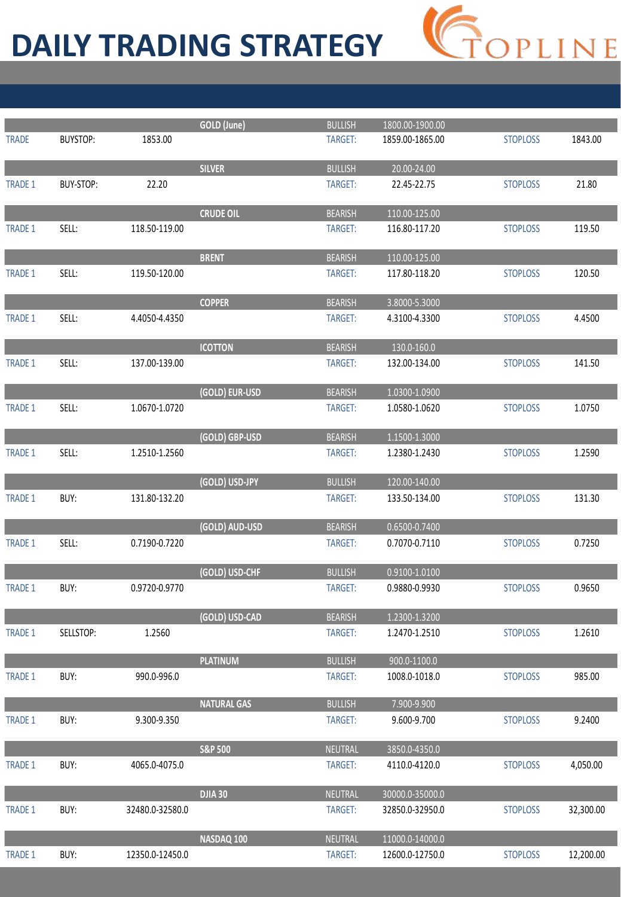# **DAILY TRADING STRATEGY**



|                |           |                 | GOLD (June)        | <b>BULLISH</b> | 1800.00-1900.00 |                 |           |
|----------------|-----------|-----------------|--------------------|----------------|-----------------|-----------------|-----------|
| <b>TRADE</b>   | BUYSTOP:  | 1853.00         |                    | TARGET:        | 1859.00-1865.00 | <b>STOPLOSS</b> | 1843.00   |
|                |           |                 | <b>SILVER</b>      | <b>BULLISH</b> | 20.00-24.00     |                 |           |
| <b>TRADE 1</b> | BUY-STOP: | 22.20           |                    | TARGET:        | 22.45-22.75     | <b>STOPLOSS</b> | 21.80     |
|                |           |                 |                    |                |                 |                 |           |
|                |           |                 | <b>CRUDE OIL</b>   | <b>BEARISH</b> | 110.00-125.00   |                 |           |
| <b>TRADE 1</b> | SELL:     | 118.50-119.00   |                    | TARGET:        | 116.80-117.20   | <b>STOPLOSS</b> | 119.50    |
|                |           |                 |                    |                |                 |                 |           |
|                |           |                 | <b>BRENT</b>       | <b>BEARISH</b> | 110.00-125.00   |                 |           |
| <b>TRADE 1</b> | SELL:     | 119.50-120.00   |                    | TARGET:        | 117.80-118.20   | <b>STOPLOSS</b> | 120.50    |
|                |           |                 |                    |                |                 |                 |           |
|                |           |                 | <b>COPPER</b>      | <b>BEARISH</b> | 3.8000-5.3000   |                 |           |
| <b>TRADE 1</b> | SELL:     | 4.4050-4.4350   |                    | TARGET:        | 4.3100-4.3300   | <b>STOPLOSS</b> | 4.4500    |
|                |           |                 | <b>ICOTTON</b>     | <b>BEARISH</b> | 130.0-160.0     |                 |           |
| <b>TRADE 1</b> | SELL:     | 137.00-139.00   |                    | TARGET:        | 132.00-134.00   | <b>STOPLOSS</b> | 141.50    |
|                |           |                 |                    |                |                 |                 |           |
|                |           |                 | (GOLD) EUR-USD     | <b>BEARISH</b> | 1.0300-1.0900   |                 |           |
| <b>TRADE 1</b> | SELL:     | 1.0670-1.0720   |                    | TARGET:        | 1.0580-1.0620   | <b>STOPLOSS</b> | 1.0750    |
|                |           |                 |                    |                |                 |                 |           |
|                |           |                 | (GOLD) GBP-USD     | <b>BEARISH</b> | 1.1500-1.3000   |                 |           |
| <b>TRADE 1</b> | SELL:     | 1.2510-1.2560   |                    | TARGET:        | 1.2380-1.2430   | <b>STOPLOSS</b> | 1.2590    |
|                |           |                 |                    |                |                 |                 |           |
|                |           |                 | (GOLD) USD-JPY     | <b>BULLISH</b> | 120.00-140.00   |                 |           |
| <b>TRADE 1</b> | BUY:      | 131.80-132.20   |                    | TARGET:        | 133.50-134.00   | <b>STOPLOSS</b> | 131.30    |
|                |           |                 | (GOLD) AUD-USD     | <b>BEARISH</b> | 0.6500-0.7400   |                 |           |
| <b>TRADE 1</b> | SELL:     | 0.7190-0.7220   |                    | TARGET:        | 0.7070-0.7110   | <b>STOPLOSS</b> | 0.7250    |
|                |           |                 |                    |                |                 |                 |           |
|                |           |                 | (GOLD) USD-CHF     | <b>BULLISH</b> | 0.9100-1.0100   |                 |           |
| <b>TRADE 1</b> | BUY:      | 0.9720-0.9770   |                    | TARGET:        | 0.9880-0.9930   | <b>STOPLOSS</b> | 0.9650    |
|                |           |                 |                    |                |                 |                 |           |
|                |           |                 | (GOLD) USD-CAD     | <b>BEARISH</b> | 1.2300-1.3200   |                 |           |
| TRADE 1        | SELLSTOP: | 1.2560          |                    | TARGET:        | 1.2470-1.2510   | <b>STOPLOSS</b> | 1.2610    |
|                |           |                 | <b>PLATINUM</b>    | <b>BULLISH</b> | 900.0-1100.0    |                 |           |
| TRADE 1        | BUY:      | 990.0-996.0     |                    | TARGET:        | 1008.0-1018.0   | <b>STOPLOSS</b> | 985.00    |
|                |           |                 |                    |                |                 |                 |           |
|                |           |                 | <b>NATURAL GAS</b> | <b>BULLISH</b> | 7.900-9.900     |                 |           |
| <b>TRADE 1</b> | BUY:      | 9.300-9.350     |                    | TARGET:        | 9.600-9.700     | <b>STOPLOSS</b> | 9.2400    |
|                |           |                 |                    |                |                 |                 |           |
|                |           |                 | <b>S&amp;P 500</b> | <b>NEUTRAL</b> | 3850.0-4350.0   |                 |           |
| <b>TRADE 1</b> | BUY:      | 4065.0-4075.0   |                    | TARGET:        | 4110.0-4120.0   | <b>STOPLOSS</b> | 4,050.00  |
|                |           |                 |                    |                |                 |                 |           |
|                |           |                 | <b>DJIA 30</b>     | NEUTRAL        | 30000.0-35000.0 |                 |           |
| <b>TRADE 1</b> | BUY:      | 32480.0-32580.0 |                    | TARGET:        | 32850.0-32950.0 | <b>STOPLOSS</b> | 32,300.00 |
|                |           |                 | NASDAQ 100         | NEUTRAL        | 11000.0-14000.0 |                 |           |
| TRADE 1        | BUY:      | 12350.0-12450.0 |                    | TARGET:        | 12600.0-12750.0 | <b>STOPLOSS</b> | 12,200.00 |
|                |           |                 |                    |                |                 |                 |           |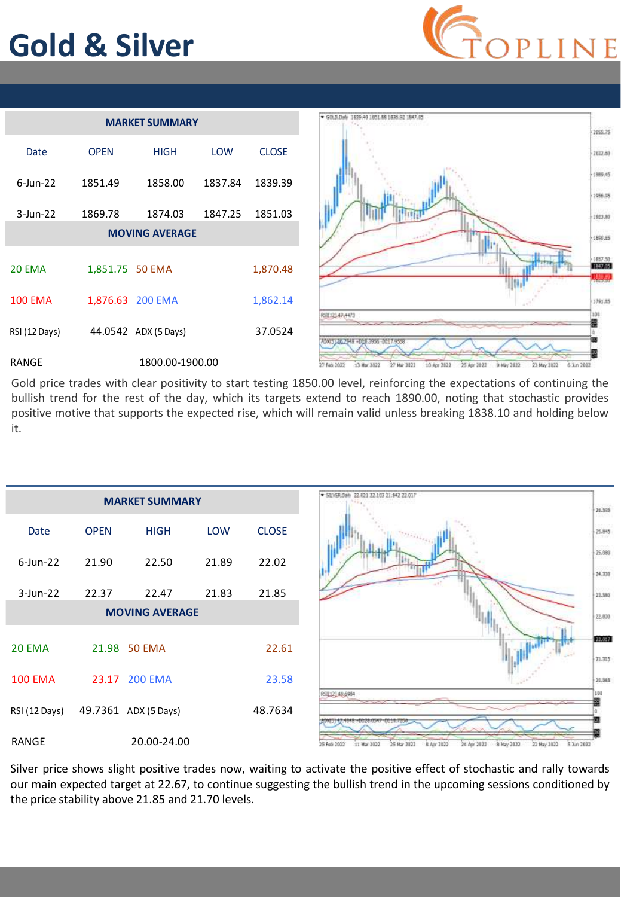## **Gold & Silver**





Gold price trades with clear positivity to start testing 1850.00 level, reinforcing the expectations of continuing the bullish trend for the rest of the day, which its targets extend to reach 1890.00, noting that stochastic provides positive motive that supports the expected rise, which will remain valid unless breaking 1838.10 and holding below it.

|                |             | <b>MARKET SUMMARY</b> |            |              | SILVER.Daily 22-021 22-103 21:042 22:017                                                                          | 76.595                  |
|----------------|-------------|-----------------------|------------|--------------|-------------------------------------------------------------------------------------------------------------------|-------------------------|
| Date           | <b>OPEN</b> | <b>HIGH</b>           | <b>LOW</b> | <b>CLOSE</b> |                                                                                                                   | <b>SPS</b><br>25.945    |
| $6$ -Jun-22    | 21.90       | 22.50                 | 21.89      | 22.02        |                                                                                                                   | 5555<br>15,680<br>69200 |
| $3$ -Jun-22    | 22.37       | 22.47                 | 21.83      | 21.85        |                                                                                                                   | 24,338<br>22.580        |
|                |             | <b>MOVING AVERAGE</b> |            |              |                                                                                                                   | 22,830                  |
| 20 EMA         |             | 21.98 50 EMA          |            | 22.61        |                                                                                                                   | 100032<br>23.315        |
| <b>100 EMA</b> |             | 23.17 200 EMA         |            | 23.58        |                                                                                                                   | 20,365                  |
| RSI (12 Days)  |             | 49.7361 ADX (5 Days)  |            | 48.7634      | RSI(12) 49,6984                                                                                                   | 130                     |
| RANGE          |             | 20.00-24.00           |            |              | 25 Mar 2822<br>8 May 2022<br>25 Feb 2022<br>11 Mar 2022<br>8 Apr 2922<br>24 Apr 2822<br>22 May 2822<br>5 Jun 2022 |                         |

Silver price shows slight positive trades now, waiting to activate the positive effect of stochastic and rally towards our main expected target at 22.67, to continue suggesting the bullish trend in the upcoming sessions conditioned by the price stability above 21.85 and 21.70 levels.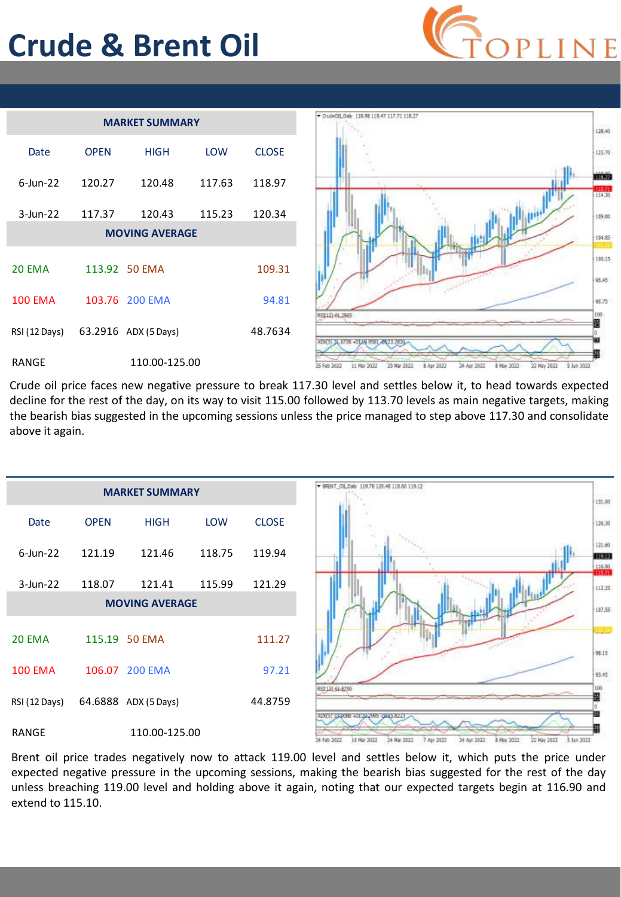## **Crude & Brent Oil**





Crude oil price faces new negative pressure to break 117.30 level and settles below it, to head towards expected decline for the rest of the day, on its way to visit 115.00 followed by 113.70 levels as main negative targets, making the bearish bias suggested in the upcoming sessions unless the price managed to step above 117.30 and consolidate above it again.



Brent oil price trades negatively now to attack 119.00 level and settles below it, which puts the price under expected negative pressure in the upcoming sessions, making the bearish bias suggested for the rest of the day unless breaching 119.00 level and holding above it again, noting that our expected targets begin at 116.90 and extend to 115.10.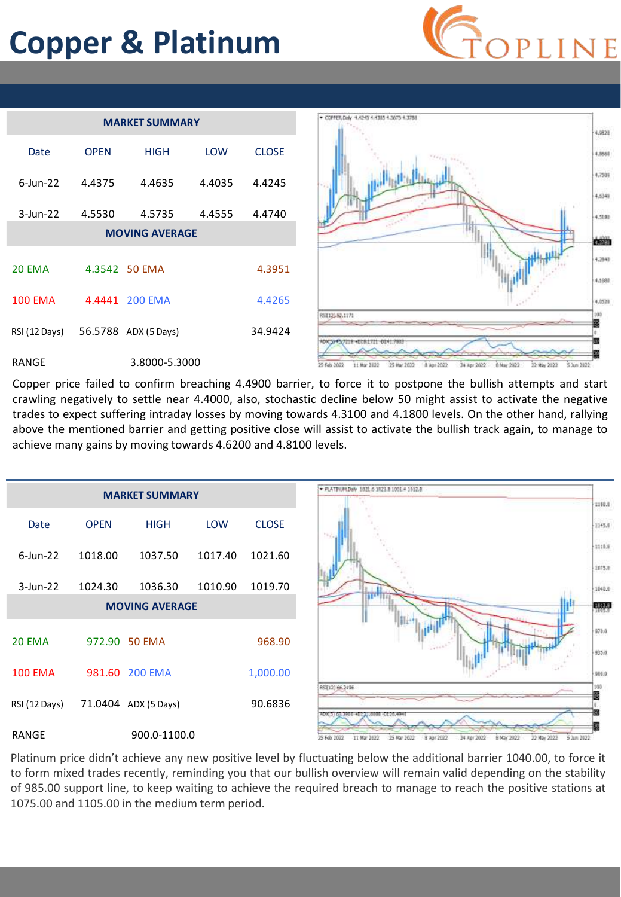## **Copper & Platinum**



| <b>MARKET SUMMARY</b>  |             |                      |            |              |  |
|------------------------|-------------|----------------------|------------|--------------|--|
| Date                   | <b>OPFN</b> | <b>HIGH</b>          | <b>LOW</b> | <b>CLOSE</b> |  |
| $6$ -lun-22            | 4.4375      | 4.4635               | 4.4035     | 4.4245       |  |
| $3$ -Jun-22            | 4.5530      | 4.5735               | 4.4555     | 4.4740       |  |
| <b>MOVING AVERAGE</b>  |             |                      |            |              |  |
| <b>20 EMA</b>          |             | 4.3542 50 EMA        |            | 4.3951       |  |
| <b>100 EMA</b>         |             | 4.4441 200 EMA       |            | 4.4265       |  |
| RSI (12 Days)          |             | 56.5788 ADX (5 Days) |            | 34.9424      |  |
| 3.8000-5.3000<br>RANGE |             |                      |            |              |  |



Copper price failed to confirm breaching 4.4900 barrier, to force it to postpone the bullish attempts and start crawling negatively to settle near 4.4000, also, stochastic decline below 50 might assist to activate the negative trades to expect suffering intraday losses by moving towards 4.3100 and 4.1800 levels. On the other hand, rallying above the mentioned barrier and getting positive close will assist to activate the bullish track again, to manage to achieve many gains by moving towards 4.6200 and 4.8100 levels.



Platinum price didn't achieve any new positive level by fluctuating below the additional barrier 1040.00, to force it to form mixed trades recently, reminding you that our bullish overview will remain valid depending on the stability of 985.00 support line, to keep waiting to achieve the required breach to manage to reach the positive stations at 1075.00 and 1105.00 in the medium term period.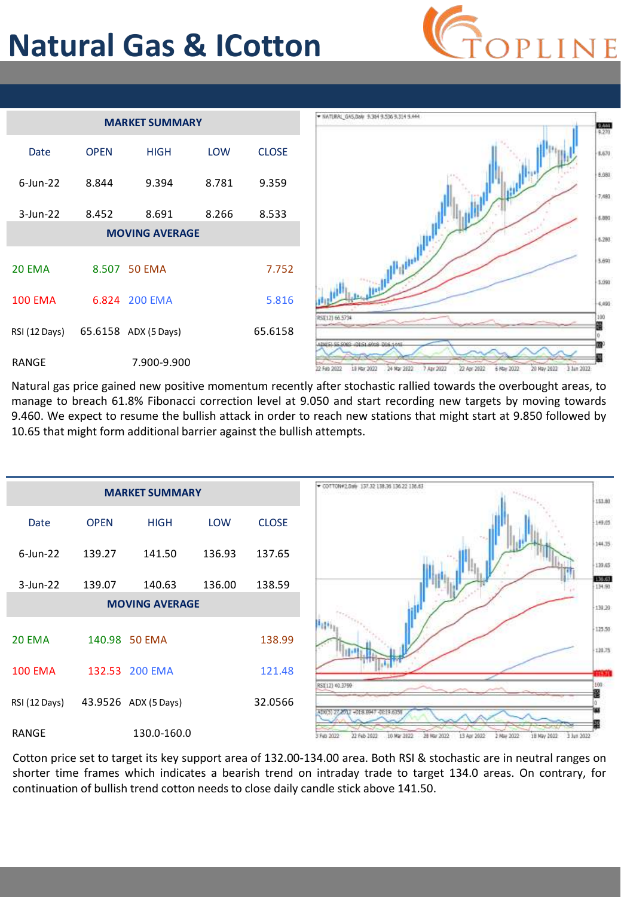## **Natural Gas & ICotton**







Natural gas price gained new positive momentum recently after stochastic rallied towards the overbought areas, to manage to breach 61.8% Fibonacci correction level at 9.050 and start recording new targets by moving towards 9.460. We expect to resume the bullish attack in order to reach new stations that might start at 9.850 followed by 10.65 that might form additional barrier against the bullish attempts.



Cotton price set to target its key support area of 132.00-134.00 area. Both RSI & stochastic are in neutral ranges on shorter time frames which indicates a bearish trend on intraday trade to target 134.0 areas. On contrary, for continuation of bullish trend cotton needs to close daily candle stick above 141.50.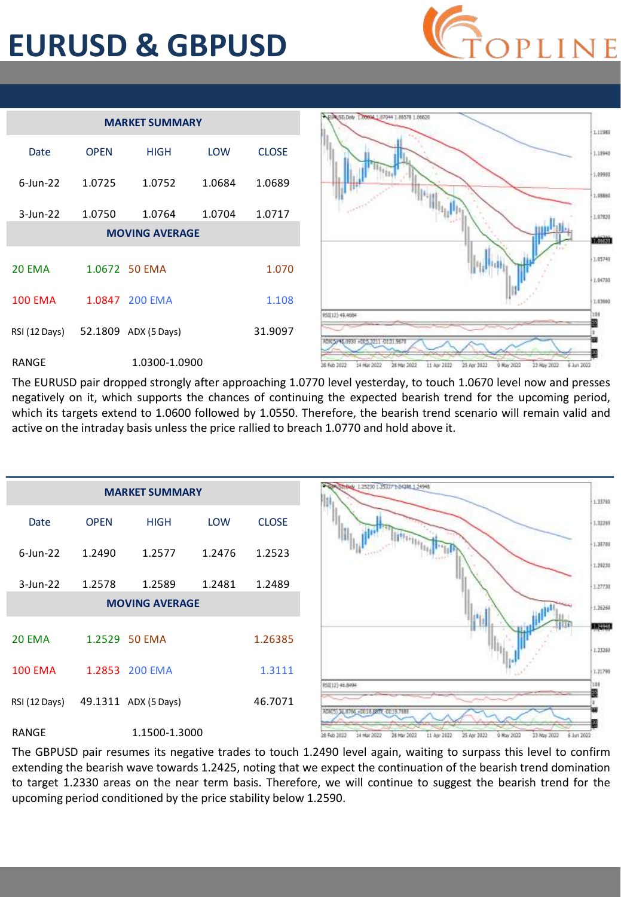#### **EURUSD & GBPUSD**



| <b>MARKET SUMMARY</b>  |                |                       |            |              |  |  |
|------------------------|----------------|-----------------------|------------|--------------|--|--|
| Date                   | <b>OPEN</b>    | <b>HIGH</b>           | <b>LOW</b> | <b>CLOSE</b> |  |  |
| $6$ -Jun-22            | 1.0725         | 1.0752                | 1.0684     | 1.0689       |  |  |
| $3$ -Jun-22            | 1.0750         | 1.0764                | 1.0704     | 1.0717       |  |  |
|                        |                | <b>MOVING AVERAGE</b> |            |              |  |  |
| 20 FMA                 |                | 1.0672 50 EMA         |            | 1.070        |  |  |
| <b>100 EMA</b>         | 1.0847 200 EMA |                       | 1.108      |              |  |  |
| RSI (12 Days)          |                | 52.1809 ADX (5 Days)  |            | 31.9097      |  |  |
| RANGE<br>1.0300-1.0900 |                |                       |            |              |  |  |



The EURUSD pair dropped strongly after approaching 1.0770 level yesterday, to touch 1.0670 level now and presses negatively on it, which supports the chances of continuing the expected bearish trend for the upcoming period, which its targets extend to 1.0600 followed by 1.0550. Therefore, the bearish trend scenario will remain valid and active on the intraday basis unless the price rallied to breach 1.0770 and hold above it.



The GBPUSD pair resumes its negative trades to touch 1.2490 level again, waiting to surpass this level to confirm extending the bearish wave towards 1.2425, noting that we expect the continuation of the bearish trend domination to target 1.2330 areas on the near term basis. Therefore, we will continue to suggest the bearish trend for the upcoming period conditioned by the price stability below 1.2590.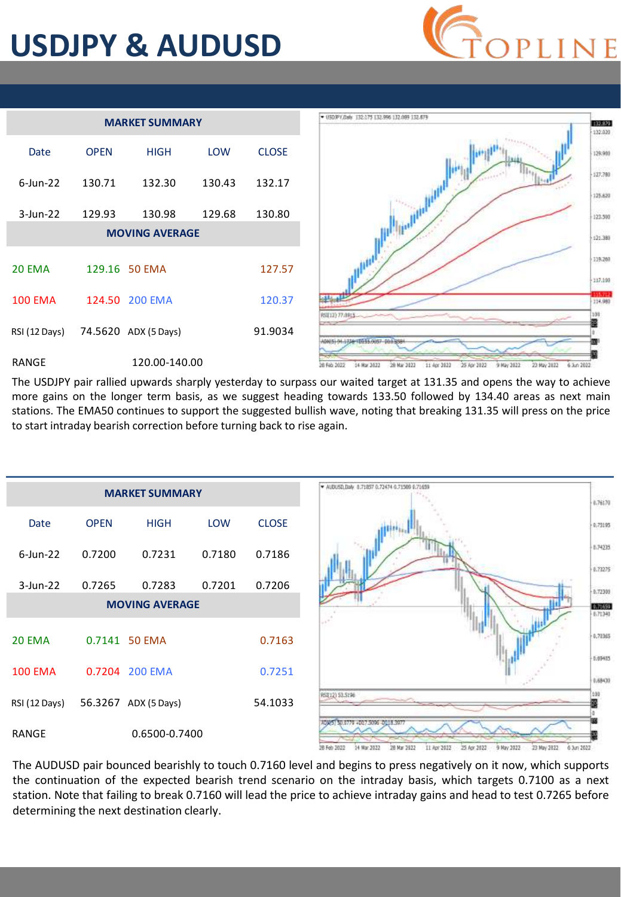## **USDJPY & AUDUSD**



| <b>MARKET SUMMARY</b>              |             |                       |            |              |  |  |
|------------------------------------|-------------|-----------------------|------------|--------------|--|--|
| Date                               | <b>OPFN</b> | <b>HIGH</b>           | <b>LOW</b> | <b>CLOSE</b> |  |  |
| $6$ -lun-22                        | 130.71      | 132.30                | 130.43     | 132.17       |  |  |
| $3$ -Jun-22                        | 129.93      | 130.98                | 129.68     | 130.80       |  |  |
|                                    |             | <b>MOVING AVERAGE</b> |            |              |  |  |
| <b>20 EMA</b>                      |             | 129.16 50 EMA         |            | 127.57       |  |  |
| <b>100 EMA</b>                     |             | 124.50 200 EMA        |            | 120.37       |  |  |
| RSI (12 Days) 74.5620 ADX (5 Days) |             |                       |            | 91.9034      |  |  |
| 120.00-140.00<br>RANGE             |             |                       |            |              |  |  |



The USDJPY pair rallied upwards sharply yesterday to surpass our waited target at 131.35 and opens the way to achieve more gains on the longer term basis, as we suggest heading towards 133.50 followed by 134.40 areas as next main stations. The EMA50 continues to support the suggested bullish wave, noting that breaking 131.35 will press on the price to start intraday bearish correction before turning back to rise again.



The AUDUSD pair bounced bearishly to touch 0.7160 level and begins to press negatively on it now, which supports the continuation of the expected bearish trend scenario on the intraday basis, which targets 0.7100 as a next station. Note that failing to break 0.7160 will lead the price to achieve intraday gains and head to test 0.7265 before determining the next destination clearly.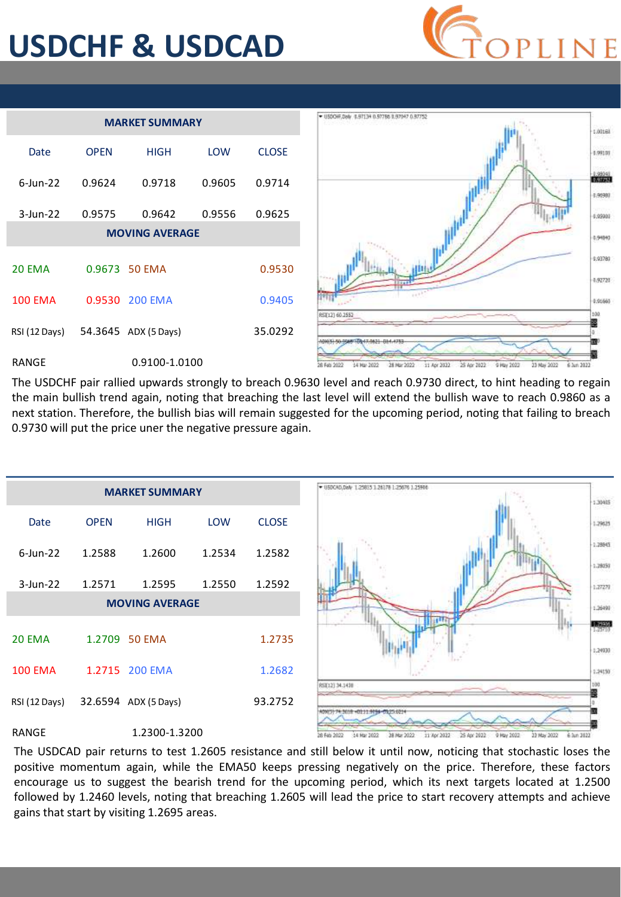## **USDCHF & USDCAD**







The USDCHF pair rallied upwards strongly to breach 0.9630 level and reach 0.9730 direct, to hint heading to regain the main bullish trend again, noting that breaching the last level will extend the bullish wave to reach 0.9860 as a next station. Therefore, the bullish bias will remain suggested for the upcoming period, noting that failing to breach 0.9730 will put the price uner the negative pressure again.



The USDCAD pair returns to test 1.2605 resistance and still below it until now, noticing that stochastic loses the positive momentum again, while the EMA50 keeps pressing negatively on the price. Therefore, these factors encourage us to suggest the bearish trend for the upcoming period, which its next targets located at 1.2500 followed by 1.2460 levels, noting that breaching 1.2605 will lead the price to start recovery attempts and achieve gains that start by visiting 1.2695 areas.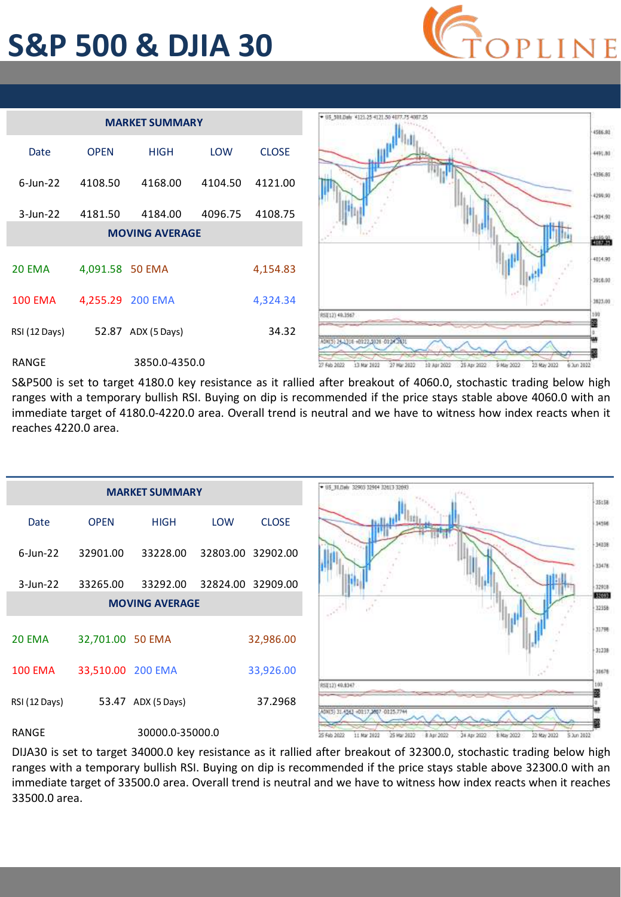#### **S&P 500 & DJIA 30**





S&P500 is set to target 4180.0 key resistance as it rallied after breakout of 4060.0, stochastic trading below high ranges with a temporary bullish RSI. Buying on dip is recommended if the price stays stable above 4060.0 with an immediate target of 4180.0-4220.0 area. Overall trend is neutral and we have to witness how index reacts when it reaches 4220.0 area.



DIJA30 is set to target 34000.0 key resistance as it rallied after breakout of 32300.0, stochastic trading below high ranges with a temporary bullish RSI. Buying on dip is recommended if the price stays stable above 32300.0 with an immediate target of 33500.0 area. Overall trend is neutral and we have to witness how index reacts when it reaches 33500.0 area.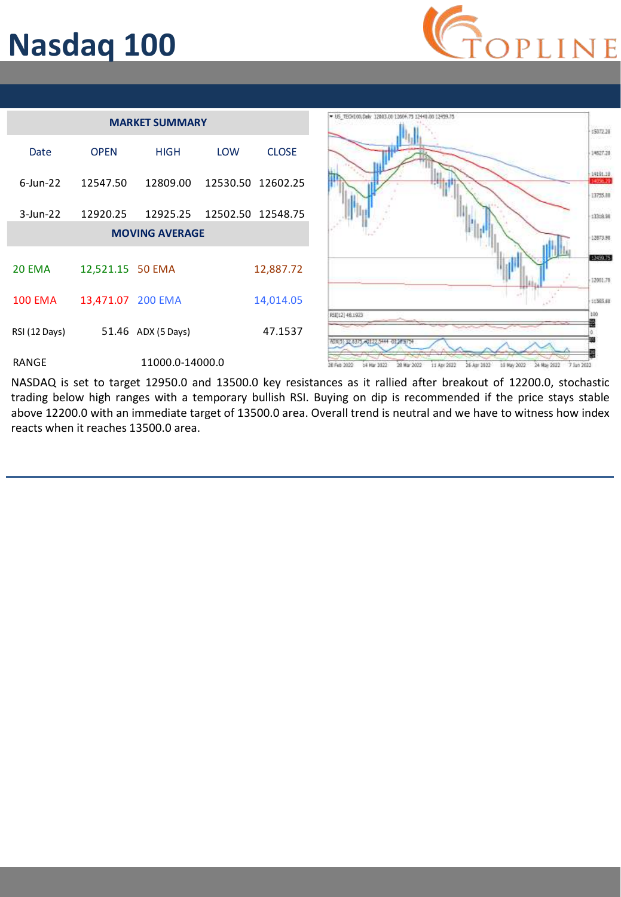## **Nasdaq 100**





NASDAQ is set to target 12950.0 and 13500.0 key resistances as it rallied after breakout of 12200.0, stochastic trading below high ranges with a temporary bullish RSI. Buying on dip is recommended if the price stays stable above 12200.0 with an immediate target of 13500.0 area. Overall trend is neutral and we have to witness how index reacts when it reaches 13500.0 area.